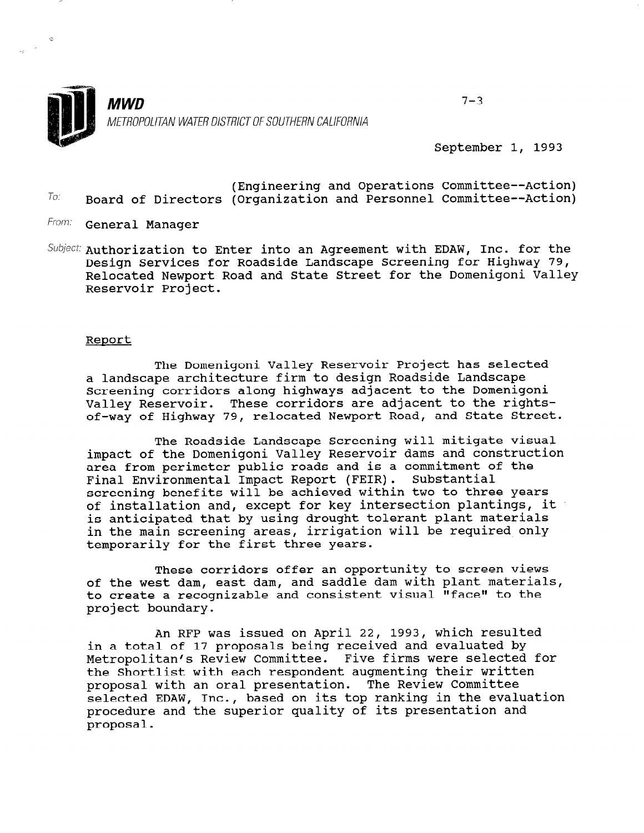

September 1, 1993

- (Engineering and Operations Committee--Action)  $T_{0}$ : Board of Directors (Organization and Personnel Committee--Action)
- From: **General Manager**
- Subject: Authorization to Enter into an Agreement with EDAW, Inc. for the Design Services for Roadside Landscape Screening for Highway 79, Relocated Newport Road and State Street for the Domenigoni Valley Reservoir Project.

## Report

The Domenigoni Valley Reservoir Project has selected a landscape architecture firm to design Roadside Landscape Screening corridors along highways adjacent to the Domenigoni Valley Reservoir. These corridors are adjacent to the rightsof-way of Highway 79, relocated Newport Road, and State Street.

The Roadside Landscape Screening will mitigate visual impact of the Domenigoni Valley Reservoir dams and construction area from perimeter public roads and is a commitment of the Final Environmental Impact Report (FEIR). Substantial screening benefits will be achieved within two to three years of installation and, except for key intersection plantings, it is anticipated that by using drought tolerant plant materials in the main screening areas, irrigation will be required only temporarily for the first three years.

These corridors offer an opportunity to screen views of the west dam, east dam, and saddle dam with plant materials, to create a recognizable and consistent visual "face" to the project boundary.

An RFP was issued on April 22, 1993, which resulted in a total of 17 proposals being received and evaluated by Metropolitan's Review Committee. Five firms were selected for netroportican 5 Review Committee. Tive firms were selected proposal with each respondent augmenting their will<br>were real with an oral presentation. The Review Committy proposal with an oral presentation. The Review Committee selected EDAW, Inc., based on its top ranking in the evaluation procedure and the superior quality of its presentation and proposal.

 $7 - 3$